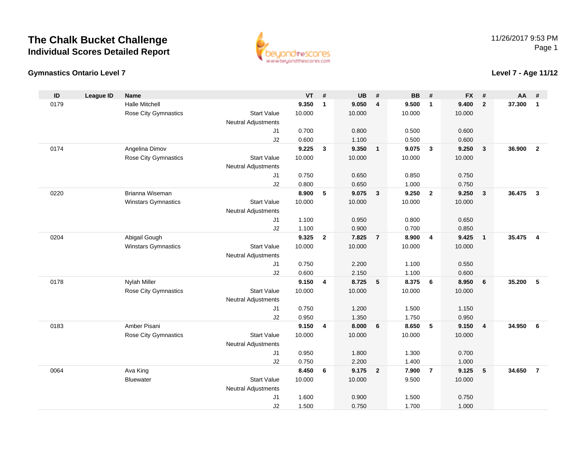

#### **Gymnastics Ontario Level 7**

### **Level 7 - Age 11/12**

| ID   | <b>League ID</b> | <b>Name</b>           |                                              | <b>VT</b> | #              | <b>UB</b> | #                       | <b>BB</b> | #              | <b>FX</b> | #                       | AA     | #              |
|------|------------------|-----------------------|----------------------------------------------|-----------|----------------|-----------|-------------------------|-----------|----------------|-----------|-------------------------|--------|----------------|
| 0179 |                  | <b>Halle Mitchell</b> |                                              | 9.350     | $\mathbf{1}$   | 9.050     | 4                       | 9.500     | $\overline{1}$ | 9.400     | $\overline{2}$          | 37.300 | $\mathbf{1}$   |
|      |                  | Rose City Gymnastics  | <b>Start Value</b>                           | 10.000    |                | 10.000    |                         | 10.000    |                | 10.000    |                         |        |                |
|      |                  |                       | <b>Neutral Adjustments</b>                   |           |                |           |                         |           |                |           |                         |        |                |
|      |                  |                       | J <sub>1</sub>                               | 0.700     |                | 0.800     |                         | 0.500     |                | 0.600     |                         |        |                |
|      |                  |                       | J2                                           | 0.600     |                | 1.100     |                         | 0.500     |                | 0.600     |                         |        |                |
| 0174 |                  | Angelina Dimov        |                                              | 9.225     | $\mathbf{3}$   | 9.350     | $\overline{1}$          | 9.075     | $\mathbf{3}$   | 9.250     | $\mathbf{3}$            | 36.900 | $\overline{2}$ |
|      |                  | Rose City Gymnastics  | <b>Start Value</b>                           | 10.000    |                | 10.000    |                         | 10.000    |                | 10.000    |                         |        |                |
|      |                  |                       | <b>Neutral Adjustments</b>                   |           |                |           |                         |           |                |           |                         |        |                |
|      |                  |                       | J <sub>1</sub>                               | 0.750     |                | 0.650     |                         | 0.850     |                | 0.750     |                         |        |                |
|      |                  |                       | J2                                           | 0.800     |                | 0.650     |                         | 1.000     |                | 0.750     |                         |        |                |
| 0220 |                  | Brianna Wiseman       |                                              | 8.900     | $\sqrt{5}$     | 9.075     | $\overline{\mathbf{3}}$ | 9.250     | $\overline{2}$ | 9.250     | $\overline{\mathbf{3}}$ | 36.475 | $\overline{3}$ |
|      |                  | Winstars Gymnastics   | <b>Start Value</b>                           | 10.000    |                | 10.000    |                         | 10.000    |                | 10.000    |                         |        |                |
|      |                  |                       | <b>Neutral Adjustments</b>                   |           |                |           |                         |           |                |           |                         |        |                |
|      |                  |                       | J <sub>1</sub>                               | 1.100     |                | 0.950     |                         | 0.800     |                | 0.650     |                         |        |                |
|      |                  |                       | J2                                           | 1.100     |                | 0.900     |                         | 0.700     |                | 0.850     |                         |        |                |
| 0204 |                  | Abigail Gough         |                                              | 9.325     | $\overline{2}$ | 7.825     | $\overline{7}$          | 8.900     | $\overline{4}$ | 9.425     | $\overline{1}$          | 35.475 | $\overline{4}$ |
|      |                  | Winstars Gymnastics   | <b>Start Value</b>                           | 10.000    |                | 10.000    |                         | 10.000    |                | 10.000    |                         |        |                |
|      |                  |                       | <b>Neutral Adjustments</b><br>J <sub>1</sub> | 0.750     |                | 2.200     |                         | 1.100     |                | 0.550     |                         |        |                |
|      |                  |                       | J2                                           | 0.600     |                | 2.150     |                         | 1.100     |                | 0.600     |                         |        |                |
| 0178 |                  | <b>Nylah Miller</b>   |                                              | 9.150     | 4              | 8.725     | $5\overline{5}$         | 8.375     | - 6            | 8.950     | 6                       | 35.200 | 5              |
|      |                  | Rose City Gymnastics  | <b>Start Value</b>                           | 10.000    |                | 10.000    |                         | 10.000    |                | 10.000    |                         |        |                |
|      |                  |                       | <b>Neutral Adjustments</b>                   |           |                |           |                         |           |                |           |                         |        |                |
|      |                  |                       | J <sub>1</sub>                               | 0.750     |                | 1.200     |                         | 1.500     |                | 1.150     |                         |        |                |
|      |                  |                       | J2                                           | 0.950     |                | 1.350     |                         | 1.750     |                | 0.950     |                         |        |                |
| 0183 |                  | Amber Pisani          |                                              | 9.150     | 4              | 8.000     | 6                       | 8.650     | 5              | 9.150     | $\overline{\mathbf{4}}$ | 34.950 | 6              |
|      |                  | Rose City Gymnastics  | <b>Start Value</b>                           | 10.000    |                | 10.000    |                         | 10.000    |                | 10.000    |                         |        |                |
|      |                  |                       | <b>Neutral Adjustments</b>                   |           |                |           |                         |           |                |           |                         |        |                |
|      |                  |                       | J <sub>1</sub>                               | 0.950     |                | 1.800     |                         | 1.300     |                | 0.700     |                         |        |                |
|      |                  |                       | J2                                           | 0.750     |                | 2.200     |                         | 1.400     |                | 1.000     |                         |        |                |
| 0064 |                  | Ava King              |                                              | 8.450     | 6              | 9.175     | $\overline{2}$          | 7.900     | $\overline{7}$ | 9.125     | 5                       | 34.650 | $\overline{7}$ |
|      |                  | <b>Bluewater</b>      | <b>Start Value</b>                           | 10.000    |                | 10.000    |                         | 9.500     |                | 10.000    |                         |        |                |
|      |                  |                       | <b>Neutral Adjustments</b>                   |           |                |           |                         |           |                |           |                         |        |                |
|      |                  |                       | J <sub>1</sub>                               | 1.600     |                | 0.900     |                         | 1.500     |                | 0.750     |                         |        |                |
|      |                  |                       | J2                                           | 1.500     |                | 0.750     |                         | 1.700     |                | 1.000     |                         |        |                |
|      |                  |                       |                                              |           |                |           |                         |           |                |           |                         |        |                |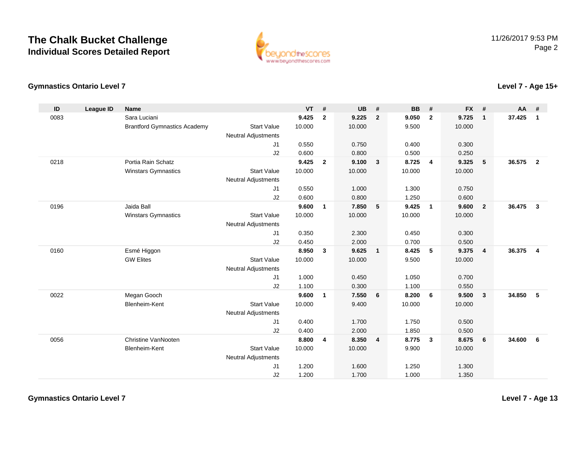

### **Gymnastics Ontario Level 7**

| ID   | <b>League ID</b> | <b>Name</b>                         |                            | <b>VT</b> | #                       | <b>UB</b> | #              | <b>BB</b> | #              | <b>FX</b> | #              | AA     | #                       |
|------|------------------|-------------------------------------|----------------------------|-----------|-------------------------|-----------|----------------|-----------|----------------|-----------|----------------|--------|-------------------------|
| 0083 |                  | Sara Luciani                        |                            | 9.425     | $\mathbf{2}$            | 9.225     | $\overline{2}$ | 9.050     | $\mathbf{2}$   | 9.725     | $\mathbf{1}$   | 37.425 | $\mathbf{1}$            |
|      |                  | <b>Brantford Gymnastics Academy</b> | <b>Start Value</b>         | 10.000    |                         | 10.000    |                | 9.500     |                | 10.000    |                |        |                         |
|      |                  |                                     | <b>Neutral Adjustments</b> |           |                         |           |                |           |                |           |                |        |                         |
|      |                  |                                     | J <sub>1</sub>             | 0.550     |                         | 0.750     |                | 0.400     |                | 0.300     |                |        |                         |
|      |                  |                                     | J2                         | 0.600     |                         | 0.800     |                | 0.500     |                | 0.250     |                |        |                         |
| 0218 |                  | Portia Rain Schatz                  |                            | 9.425     | $\overline{2}$          | 9.100     | $\mathbf{3}$   | 8.725     | $\overline{4}$ | 9.325     | 5              | 36.575 | $\overline{\mathbf{2}}$ |
|      |                  | <b>Winstars Gymnastics</b>          | <b>Start Value</b>         | 10.000    |                         | 10.000    |                | 10.000    |                | 10.000    |                |        |                         |
|      |                  |                                     | <b>Neutral Adjustments</b> |           |                         |           |                |           |                |           |                |        |                         |
|      |                  |                                     | J <sub>1</sub>             | 0.550     |                         | 1.000     |                | 1.300     |                | 0.750     |                |        |                         |
|      |                  |                                     | J2                         | 0.600     |                         | 0.800     |                | 1.250     |                | 0.600     |                |        |                         |
| 0196 |                  | Jaida Ball                          |                            | 9.600     | $\mathbf{1}$            | 7.850     | 5              | 9.425     | $\overline{1}$ | 9.600     | $\overline{2}$ | 36.475 | $\mathbf{3}$            |
|      |                  | <b>Winstars Gymnastics</b>          | <b>Start Value</b>         | 10.000    |                         | 10.000    |                | 10.000    |                | 10.000    |                |        |                         |
|      |                  |                                     | <b>Neutral Adjustments</b> |           |                         |           |                |           |                |           |                |        |                         |
|      |                  |                                     | J1                         | 0.350     |                         | 2.300     |                | 0.450     |                | 0.300     |                |        |                         |
|      |                  |                                     | J2                         | 0.450     |                         | 2.000     |                | 0.700     |                | 0.500     |                |        |                         |
| 0160 |                  | Esmé Higgon                         |                            | 8.950     | $\mathbf{3}$            | 9.625     | $\overline{1}$ | 8.425     | 5              | 9.375     | $\overline{4}$ | 36.375 | $\overline{4}$          |
|      |                  | <b>GW Elites</b>                    | <b>Start Value</b>         | 10.000    |                         | 10.000    |                | 9.500     |                | 10.000    |                |        |                         |
|      |                  |                                     | <b>Neutral Adjustments</b> |           |                         |           |                |           |                |           |                |        |                         |
|      |                  |                                     | J1                         | 1.000     |                         | 0.450     |                | 1.050     |                | 0.700     |                |        |                         |
|      |                  |                                     | J2                         | 1.100     |                         | 0.300     |                | 1.100     |                | 0.550     |                |        |                         |
| 0022 |                  | Megan Gooch                         |                            | 9.600     | $\mathbf{1}$            | 7.550     | 6              | 8.200     | 6              | 9.500     | $\mathbf{3}$   | 34.850 | 5                       |
|      |                  | Blenheim-Kent                       | <b>Start Value</b>         | 10.000    |                         | 9.400     |                | 10.000    |                | 10.000    |                |        |                         |
|      |                  |                                     | <b>Neutral Adjustments</b> |           |                         |           |                |           |                |           |                |        |                         |
|      |                  |                                     | J1                         | 0.400     |                         | 1.700     |                | 1.750     |                | 0.500     |                |        |                         |
|      |                  |                                     | J2                         | 0.400     |                         | 2.000     |                | 1.850     |                | 0.500     |                |        |                         |
| 0056 |                  | <b>Christine VanNooten</b>          |                            | 8.800     | $\overline{\mathbf{4}}$ | 8.350     | $\overline{4}$ | 8.775     | $\mathbf{3}$   | 8.675     | 6              | 34.600 | 6                       |
|      |                  | Blenheim-Kent                       | <b>Start Value</b>         | 10.000    |                         | 10.000    |                | 9.900     |                | 10.000    |                |        |                         |
|      |                  |                                     | <b>Neutral Adjustments</b> |           |                         |           |                |           |                |           |                |        |                         |
|      |                  |                                     | J1                         | 1.200     |                         | 1.600     |                | 1.250     |                | 1.300     |                |        |                         |
|      |                  |                                     | J2                         | 1.200     |                         | 1.700     |                | 1.000     |                | 1.350     |                |        |                         |

**Level 7 - Age 13**

**Level 7 - Age 15+**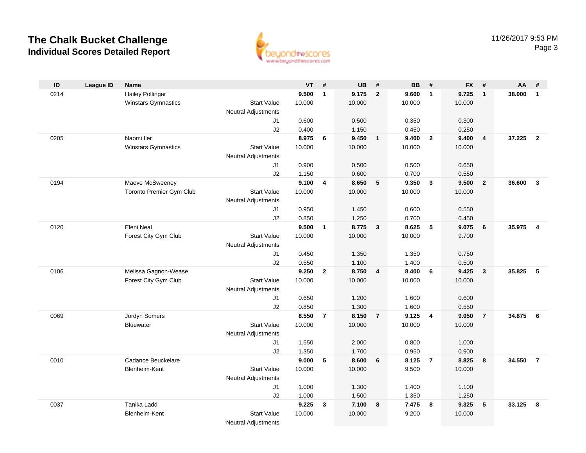

| ID   | <b>League ID</b> | <b>Name</b>              |                            | <b>VT</b>      | #                       | <b>UB</b>      | #                       | <b>BB</b>      | #                       | <b>FX</b>      | #               | AA     | #                       |
|------|------------------|--------------------------|----------------------------|----------------|-------------------------|----------------|-------------------------|----------------|-------------------------|----------------|-----------------|--------|-------------------------|
| 0214 |                  | <b>Hailey Pollinger</b>  |                            | 9.500          | $\mathbf{1}$            | 9.175          | $\overline{2}$          | 9.600          | $\mathbf{1}$            | 9.725          | $\mathbf{1}$    | 38.000 | $\mathbf{1}$            |
|      |                  | Winstars Gymnastics      | <b>Start Value</b>         | 10.000         |                         | 10.000         |                         | 10.000         |                         | 10.000         |                 |        |                         |
|      |                  |                          | <b>Neutral Adjustments</b> |                |                         |                |                         |                |                         |                |                 |        |                         |
|      |                  |                          | J1                         | 0.600          |                         | 0.500          |                         | 0.350          |                         | 0.300          |                 |        |                         |
|      |                  |                          | J2                         | 0.400          |                         | 1.150          |                         | 0.450          |                         | 0.250          |                 |        |                         |
| 0205 |                  | Naomi Iler               |                            | 8.975          | 6                       | 9.450          | $\overline{\mathbf{1}}$ | 9.400          | $\overline{2}$          | 9.400          | $\overline{4}$  | 37.225 | $\overline{2}$          |
|      |                  | Winstars Gymnastics      | <b>Start Value</b>         | 10.000         |                         | 10.000         |                         | 10.000         |                         | 10.000         |                 |        |                         |
|      |                  |                          | <b>Neutral Adjustments</b> |                |                         |                |                         |                |                         |                |                 |        |                         |
|      |                  |                          | J1                         | 0.900          |                         | 0.500          |                         | 0.500          |                         | 0.650          |                 |        |                         |
|      |                  |                          | J2                         | 1.150          |                         | 0.600          |                         | 0.700          |                         | 0.550          |                 |        |                         |
| 0194 |                  | Maeve McSweeney          |                            | 9.100          | $\overline{\mathbf{4}}$ | 8.650          | 5                       | 9.350          | $\overline{\mathbf{3}}$ | 9.500          | $\overline{2}$  | 36.600 | $\overline{3}$          |
|      |                  | Toronto Premier Gym Club | <b>Start Value</b>         | 10.000         |                         | 10.000         |                         | 10.000         |                         | 10.000         |                 |        |                         |
|      |                  |                          | <b>Neutral Adjustments</b> |                |                         |                |                         |                |                         |                |                 |        |                         |
|      |                  |                          | J1                         | 0.950          |                         | 1.450          |                         | 0.600          |                         | 0.550          |                 |        |                         |
|      |                  |                          | J2                         | 0.850          |                         | 1.250          |                         | 0.700          |                         | 0.450          |                 |        |                         |
| 0120 |                  | Eleni Neal               |                            | 9.500          | $\mathbf{1}$            | 8.775          | $\mathbf{3}$            | 8.625          | 5                       | 9.075          | 6               | 35.975 | $\overline{\mathbf{4}}$ |
|      |                  | Forest City Gym Club     | <b>Start Value</b>         | 10.000         |                         | 10.000         |                         | 10.000         |                         | 9.700          |                 |        |                         |
|      |                  |                          | Neutral Adjustments        |                |                         |                |                         |                |                         |                |                 |        |                         |
|      |                  |                          | J1<br>J2                   | 0.450<br>0.550 |                         | 1.350<br>1.100 |                         | 1.350<br>1.400 |                         | 0.750          |                 |        |                         |
| 0106 |                  | Melissa Gagnon-Wease     |                            | 9.250          | $\overline{2}$          | 8.750          | $\overline{\mathbf{4}}$ | 8.400          | 6                       | 0.500<br>9.425 | $\mathbf{3}$    | 35.825 | 5                       |
|      |                  | Forest City Gym Club     | <b>Start Value</b>         | 10.000         |                         | 10.000         |                         | 10.000         |                         | 10.000         |                 |        |                         |
|      |                  |                          | Neutral Adjustments        |                |                         |                |                         |                |                         |                |                 |        |                         |
|      |                  |                          | J1                         | 0.650          |                         | 1.200          |                         | 1.600          |                         | 0.600          |                 |        |                         |
|      |                  |                          | J2                         | 0.850          |                         | 1.300          |                         | 1.600          |                         | 0.550          |                 |        |                         |
| 0069 |                  | Jordyn Somers            |                            | 8.550          | $\overline{7}$          | 8.150          | $\overline{7}$          | 9.125          | $\overline{4}$          | 9.050          | $\overline{7}$  | 34.875 | $6\overline{6}$         |
|      |                  | <b>Bluewater</b>         | <b>Start Value</b>         | 10.000         |                         | 10.000         |                         | 10.000         |                         | 10.000         |                 |        |                         |
|      |                  |                          | Neutral Adjustments        |                |                         |                |                         |                |                         |                |                 |        |                         |
|      |                  |                          | J1                         | 1.550          |                         | 2.000          |                         | 0.800          |                         | 1.000          |                 |        |                         |
|      |                  |                          | J2                         | 1.350          |                         | 1.700          |                         | 0.950          |                         | 0.900          |                 |        |                         |
| 0010 |                  | Cadance Beuckelare       |                            | 9.000          | 5                       | 8.600          | 6                       | 8.125          | $\overline{7}$          | 8.825          | 8               | 34.550 | $\overline{7}$          |
|      |                  | Blenheim-Kent            | <b>Start Value</b>         | 10.000         |                         | 10.000         |                         | 9.500          |                         | 10.000         |                 |        |                         |
|      |                  |                          | <b>Neutral Adjustments</b> |                |                         |                |                         |                |                         |                |                 |        |                         |
|      |                  |                          | J1                         | 1.000          |                         | 1.300          |                         | 1.400          |                         | 1.100          |                 |        |                         |
|      |                  |                          | J2                         | 1.000          |                         | 1.500          |                         | 1.350          |                         | 1.250          |                 |        |                         |
| 0037 |                  | Tanika Ladd              |                            | 9.225          | 3                       | 7.100          | 8                       | 7.475          | 8                       | 9.325          | $5\phantom{.0}$ | 33.125 | 8                       |
|      |                  | Blenheim-Kent            | <b>Start Value</b>         | 10.000         |                         | 10.000         |                         | 9.200          |                         | 10.000         |                 |        |                         |
|      |                  |                          | <b>Neutral Adjustments</b> |                |                         |                |                         |                |                         |                |                 |        |                         |